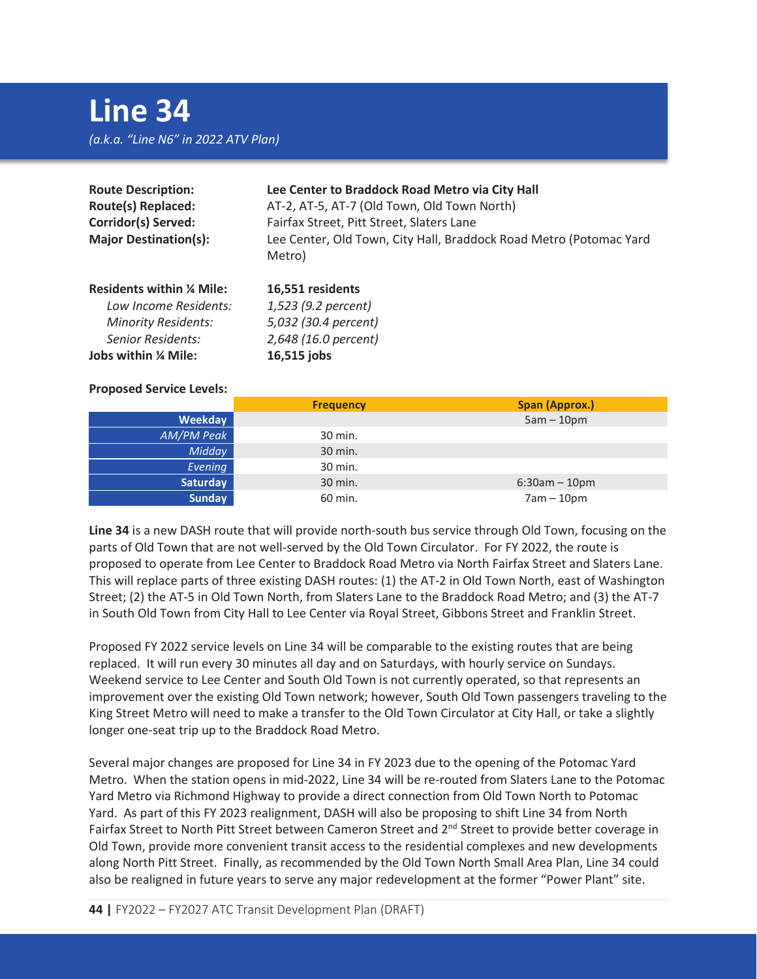| <b>Route Description:</b><br>Route(s) Replaced:<br><b>Corridor(s) Served:</b><br><b>Major Destination(s):</b> | Lee Center to Braddock Road Metro via City Hall<br>AT-2, AT-5, AT-7 (Old Town, Old Town North)<br>Fairfax Street, Pitt Street, Slaters Lane<br>Lee Center, Old Town, City Hall, Braddock Road Metro (Potomac Yard<br>Metro) |
|---------------------------------------------------------------------------------------------------------------|-----------------------------------------------------------------------------------------------------------------------------------------------------------------------------------------------------------------------------|
| <b>Residents within % Mile:</b>                                                                               | 16,551 residents                                                                                                                                                                                                            |
| Low Income Residents:                                                                                         | 1,523 (9.2 percent)                                                                                                                                                                                                         |
| <b>Minority Residents:</b>                                                                                    | 5,032 (30.4 percent)                                                                                                                                                                                                        |
| <b>Senior Residents:</b>                                                                                      | 2,648 (16.0 percent)                                                                                                                                                                                                        |
| Jobs within % Mile:                                                                                           | 16,515 jobs                                                                                                                                                                                                                 |

## **Proposed Service Levels:**

|                   | <b>Frequency</b> | Span (Approx.)  |
|-------------------|------------------|-----------------|
| Weekday           |                  | $5am - 10pm$    |
| <b>AM/PM Peak</b> | 30 min.          |                 |
| Midday            | 30 min.          |                 |
| Evening           | 30 min.          |                 |
| Saturday          | 30 min.          | $6:30am - 10pm$ |
| <b>Sunday</b>     | 60 min.          | $7am - 10pm$    |

**Line 34** is a new DASH route that will provide north-south bus service through Old Town, focusing on the parts of Old Town that are not well-served by the Old Town Circulator. For FY 2022, the route is proposed to operate from Lee Center to Braddock Road Metro via North Fairfax Street and Slaters Lane. This will replace parts of three existing DASH routes: (1) the AT-2 in Old Town North, east of Washington Street; (2) the AT-5 in Old Town North, from Slaters Lane to the Braddock Road Metro; and (3) the AT-7 in South Old Town from City Hall to Lee Center via Royal Street, Gibbons Street and Franklin Street.

Proposed FY 2022 service levels on Line 34 will be comparable to the existing routes that are being replaced. It will run every 30 minutes all day and on Saturdays, with hourly service on Sundays. Weekend service to Lee Center and South Old Town is not currently operated, so that represents an improvement over the existing Old Town network; however, South Old Town passengers traveling to the King Street Metro will need to make a transfer to the Old Town Circulator at City Hall, or take a slightly longer one-seat trip up to the Braddock Road Metro.

Several major changes are proposed for Line 34 in FY 2023 due to the opening of the Potomac Yard Metro. When the station opens in mid-2022, Line 34 will be re-routed from Slaters Lane to the Potomac Yard Metro via Richmond Highway to provide a direct connection from Old Town North to Potomac Yard. As part of this FY 2023 realignment, DASH will also be proposing to shift Line 34 from North Fairfax Street to North Pitt Street between Cameron Street and 2<sup>nd</sup> Street to provide better coverage in Old Town, provide more convenient transit access to the residential complexes and new developments along North Pitt Street. Finally, as recommended by the Old Town North Small Area Plan, Line 34 could also be realigned in future years to serve any major redevelopment at the former "Power Plant" site.